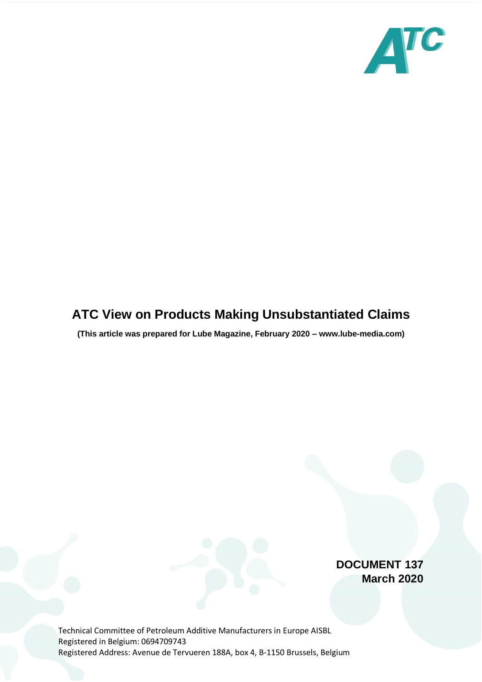

## **ATC View on Products Making Unsubstantiated Claims**

**(This article was prepared for Lube Magazine, February 2020 – www.lube-media.com)**

**DOCUMENT 137 March 2020**

Technical Committee of Petroleum Additive Manufacturers in Europe AISBL Registered in Belgium: 0694709743 Registered Address: Avenue de Tervueren 188A, box 4, B-1150 Brussels, Belgium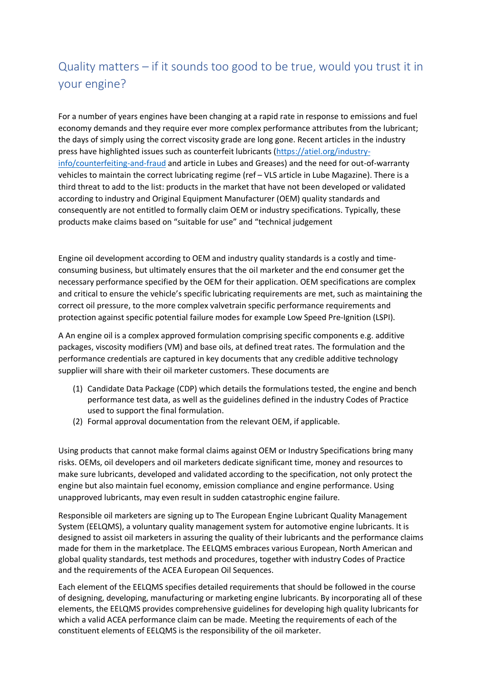## Quality matters – if it sounds too good to be true, would you trust it in your engine?

For a number of years engines have been changing at a rapid rate in response to emissions and fuel economy demands and they require ever more complex performance attributes from the lubricant; the days of simply using the correct viscosity grade are long gone. Recent articles in the industry press have highlighted issues such as counterfeit lubricants [\(https://atiel.org/industry](https://atiel.org/industry-info/counterfeiting-and-fraud)[info/counterfeiting-and-fraud](https://atiel.org/industry-info/counterfeiting-and-fraud) and article in Lubes and Greases) and the need for out-of-warranty vehicles to maintain the correct lubricating regime (ref – VLS article in Lube Magazine). There is a third threat to add to the list: products in the market that have not been developed or validated according to industry and Original Equipment Manufacturer (OEM) quality standards and consequently are not entitled to formally claim OEM or industry specifications. Typically, these products make claims based on "suitable for use" and "technical judgement

Engine oil development according to OEM and industry quality standards is a costly and timeconsuming business, but ultimately ensures that the oil marketer and the end consumer get the necessary performance specified by the OEM for their application. OEM specifications are complex and critical to ensure the vehicle's specific lubricating requirements are met, such as maintaining the correct oil pressure, to the more complex valvetrain specific performance requirements and protection against specific potential failure modes for example Low Speed Pre-Ignition (LSPI).

A An engine oil is a complex approved formulation comprising specific components e.g. additive packages, viscosity modifiers (VM) and base oils, at defined treat rates. The formulation and the performance credentials are captured in key documents that any credible additive technology supplier will share with their oil marketer customers. These documents are

- (1) Candidate Data Package (CDP) which details the formulations tested, the engine and bench performance test data, as well as the guidelines defined in the industry Codes of Practice used to support the final formulation.
- (2) Formal approval documentation from the relevant OEM, if applicable.

Using products that cannot make formal claims against OEM or Industry Specifications bring many risks. OEMs, oil developers and oil marketers dedicate significant time, money and resources to make sure lubricants, developed and validated according to the specification, not only protect the engine but also maintain fuel economy, emission compliance and engine performance. Using unapproved lubricants, may even result in sudden catastrophic engine failure.

Responsible oil marketers are signing up to The European Engine Lubricant Quality Management System (EELQMS), a voluntary quality management system for automotive engine lubricants. It is designed to assist oil marketers in assuring the quality of their lubricants and the performance claims made for them in the marketplace. The EELQMS embraces various European, North American and global quality standards, test methods and procedures, together with industry Codes of Practice and the requirements of the ACEA European Oil Sequences.

Each element of the EELQMS specifies detailed requirements that should be followed in the course of designing, developing, manufacturing or marketing engine lubricants. By incorporating all of these elements, the EELQMS provides comprehensive guidelines for developing high quality lubricants for which a valid ACEA performance claim can be made. Meeting the requirements of each of the constituent elements of EELQMS is the responsibility of the oil marketer.